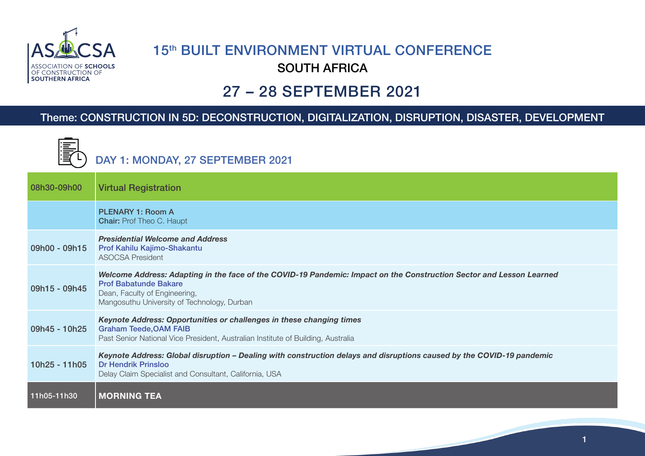

 $F = \Box$ 

## **15th BUILT ENVIRONMENT VIRTUAL CONFERENCE** SOUTH AFRICA

## 27 – 28 SEPTEMBER 2021

## Theme: CONSTRUCTION IN 5D: DECONSTRUCTION, DIGITALIZATION, DISRUPTION, DISASTER, DEVELOPMENT

|               | DAY 1: MONDAY, 27 SEPTEMBER 2021                                                                                                                                                                                                     |
|---------------|--------------------------------------------------------------------------------------------------------------------------------------------------------------------------------------------------------------------------------------|
| 08h30-09h00   | <b>Virtual Registration</b>                                                                                                                                                                                                          |
|               | <b>PLENARY 1: Room A</b><br><b>Chair: Prof Theo C. Haupt</b>                                                                                                                                                                         |
| 09h00 - 09h15 | <b>Presidential Welcome and Address</b><br><b>Prof Kahilu Kajimo-Shakantu</b><br><b>ASOCSA President</b>                                                                                                                             |
| 09h15 - 09h45 | Welcome Address: Adapting in the face of the COVID-19 Pandemic: Impact on the Construction Sector and Lesson Learned<br><b>Prof Babatunde Bakare</b><br>Dean, Faculty of Engineering,<br>Mangosuthu University of Technology, Durban |
| 09h45 - 10h25 | Keynote Address: Opportunities or challenges in these changing times<br><b>Graham Teede, OAM FAIB</b><br>Past Senior National Vice President, Australian Institute of Building, Australia                                            |
| 10h25 - 11h05 | Keynote Address: Global disruption – Dealing with construction delays and disruptions caused by the COVID-19 pandemic<br><b>Dr Hendrik Prinsloo</b><br>Delay Claim Specialist and Consultant, California, USA                        |
| 11h05-11h30   | <b>MORNING TEA</b>                                                                                                                                                                                                                   |

1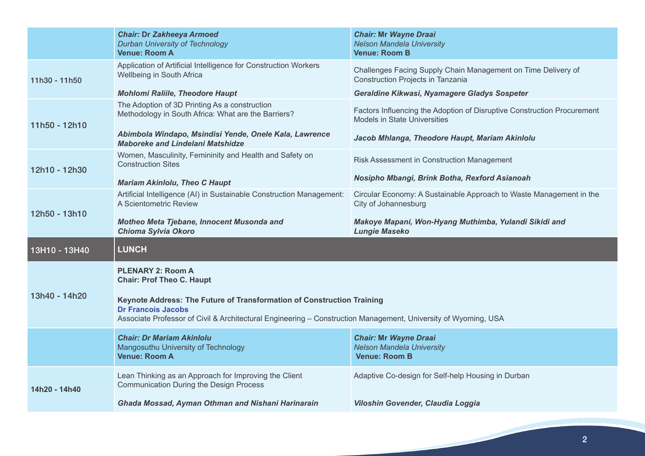|               | <b>Chair: Dr Zakheeya Armoed</b><br><b>Durban University of Technology</b><br><b>Venue: Room A</b>                                                                                                                    | <b>Chair: Mr Wayne Draai</b><br><b>Nelson Mandela University</b><br><b>Venue: Room B</b>                       |
|---------------|-----------------------------------------------------------------------------------------------------------------------------------------------------------------------------------------------------------------------|----------------------------------------------------------------------------------------------------------------|
| 11h30 - 11h50 | Application of Artificial Intelligence for Construction Workers<br>Wellbeing in South Africa                                                                                                                          | Challenges Facing Supply Chain Management on Time Delivery of<br><b>Construction Projects in Tanzania</b>      |
|               | <b>Mohlomi Raliile, Theodore Haupt</b>                                                                                                                                                                                | Geraldine Kikwasi, Nyamagere Gladys Sospeter                                                                   |
| 11h50 - 12h10 | The Adoption of 3D Printing As a construction<br>Methodology in South Africa: What are the Barriers?                                                                                                                  | Factors Influencing the Adoption of Disruptive Construction Procurement<br><b>Models in State Universities</b> |
|               | Abimbola Windapo, Msindisi Yende, Onele Kala, Lawrence<br><b>Maboreke and Lindelani Matshidze</b>                                                                                                                     | Jacob Mhlanga, Theodore Haupt, Mariam Akinlolu                                                                 |
| 12h10 - 12h30 | Women, Masculinity, Femininity and Health and Safety on<br><b>Construction Sites</b>                                                                                                                                  | Risk Assessment in Construction Management                                                                     |
|               | <b>Mariam Akinlolu, Theo C Haupt</b>                                                                                                                                                                                  | Nosipho Mbangi, Brink Botha, Rexford Asianoah                                                                  |
|               | Artificial Intelligence (AI) in Sustainable Construction Management:<br>A Scientometric Review                                                                                                                        | Circular Economy: A Sustainable Approach to Waste Management in the<br>City of Johannesburg                    |
| 12h50 - 13h10 | Motheo Meta Tjebane, Innocent Musonda and                                                                                                                                                                             |                                                                                                                |
|               | Chioma Sylvia Okoro                                                                                                                                                                                                   | Makoye Mapani, Won-Hyang Muthimba, Yulandi Sikidi and<br><b>Lungie Maseko</b>                                  |
| 13H10 - 13H40 | <b>LUNCH</b>                                                                                                                                                                                                          |                                                                                                                |
|               | <b>PLENARY 2: Room A</b><br><b>Chair: Prof Theo C. Haupt</b>                                                                                                                                                          |                                                                                                                |
| 13h40 - 14h20 | Keynote Address: The Future of Transformation of Construction Training<br><b>Dr Francois Jacobs</b><br>Associate Professor of Civil & Architectural Engineering - Construction Management, University of Wyoming, USA |                                                                                                                |
|               | <b>Chair: Dr Mariam Akinlolu</b><br>Mangosuthu University of Technology<br><b>Venue: Room A</b>                                                                                                                       | <b>Chair: Mr Wayne Draai</b><br><b>Nelson Mandela University</b><br><b>Venue: Room B</b>                       |
| 14h20 - 14h40 | Lean Thinking as an Approach for Improving the Client<br><b>Communication During the Design Process</b>                                                                                                               | Adaptive Co-design for Self-help Housing in Durban                                                             |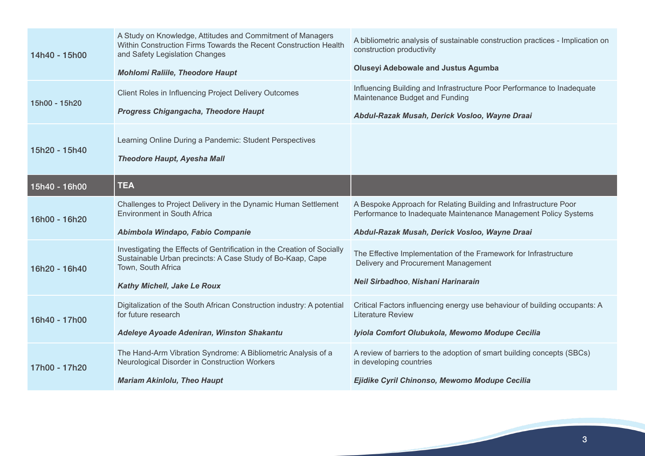| 14h40 - 15h00 | A Study on Knowledge, Attitudes and Commitment of Managers<br>Within Construction Firms Towards the Recent Construction Health<br>and Safety Legislation Changes<br><b>Mohlomi Raliile, Theodore Haupt</b> | A bibliometric analysis of sustainable construction practices - Implication on<br>construction productivity<br><b>Oluseyi Adebowale and Justus Agumba</b> |
|---------------|------------------------------------------------------------------------------------------------------------------------------------------------------------------------------------------------------------|-----------------------------------------------------------------------------------------------------------------------------------------------------------|
| 15h00 - 15h20 | Client Roles in Influencing Project Delivery Outcomes<br><b>Progress Chigangacha, Theodore Haupt</b>                                                                                                       | Influencing Building and Infrastructure Poor Performance to Inadequate<br>Maintenance Budget and Funding<br>Abdul-Razak Musah, Derick Vosloo, Wayne Draai |
| 15h20 - 15h40 | Learning Online During a Pandemic: Student Perspectives<br><b>Theodore Haupt, Ayesha Mall</b>                                                                                                              |                                                                                                                                                           |
| 15h40 - 16h00 | <b>TEA</b>                                                                                                                                                                                                 |                                                                                                                                                           |
| 16h00 - 16h20 | Challenges to Project Delivery in the Dynamic Human Settlement<br><b>Environment in South Africa</b>                                                                                                       | A Bespoke Approach for Relating Building and Infrastructure Poor<br>Performance to Inadequate Maintenance Management Policy Systems                       |
|               | Abimbola Windapo, Fabio Companie                                                                                                                                                                           | Abdul-Razak Musah, Derick Vosloo, Wayne Draai                                                                                                             |
| 16h20 - 16h40 | Investigating the Effects of Gentrification in the Creation of Socially<br>Sustainable Urban precincts: A Case Study of Bo-Kaap, Cape<br>Town, South Africa                                                | The Effective Implementation of the Framework for Infrastructure<br>Delivery and Procurement Management                                                   |
|               | Kathy Michell, Jake Le Roux                                                                                                                                                                                | Neil Sirbadhoo, Nishani Harinarain                                                                                                                        |
| 16h40 - 17h00 | Digitalization of the South African Construction industry: A potential<br>for future research                                                                                                              | Critical Factors influencing energy use behaviour of building occupants: A<br><b>Literature Review</b>                                                    |
|               | Adeleye Ayoade Adeniran, Winston Shakantu                                                                                                                                                                  | Iyiola Comfort Olubukola, Mewomo Modupe Cecilia                                                                                                           |
| 17h00 - 17h20 | The Hand-Arm Vibration Syndrome: A Bibliometric Analysis of a<br>Neurological Disorder in Construction Workers                                                                                             | A review of barriers to the adoption of smart building concepts (SBCs)<br>in developing countries                                                         |
|               | <b>Mariam Akinlolu, Theo Haupt</b>                                                                                                                                                                         | Ejidike Cyril Chinonso, Mewomo Modupe Cecilia                                                                                                             |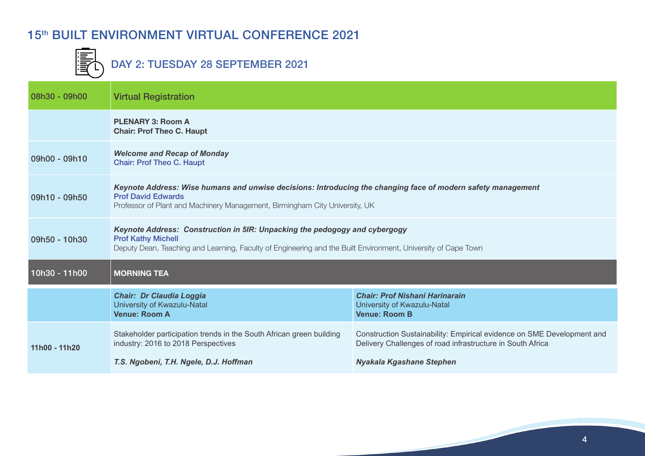## 15<sup>th</sup> BUILT ENVIRONMENT VIRTUAL CONFERENCE 2021



 $\begin{array}{ll}\n\begin{array}{ll}\n\hline\n\text{F} \\
\hline\n\text{F} \\
\hline\n\end{array}\n\end{array}$  DAY 2: TUESDAY 28 SEPTEMBER 2021

| 08h30 - 09h00 | <b>Virtual Registration</b>                                                                                                                                                                                              |                                                                                                                                                                         |
|---------------|--------------------------------------------------------------------------------------------------------------------------------------------------------------------------------------------------------------------------|-------------------------------------------------------------------------------------------------------------------------------------------------------------------------|
|               | <b>PLENARY 3: Room A</b><br><b>Chair: Prof Theo C. Haupt</b>                                                                                                                                                             |                                                                                                                                                                         |
| 09h00 - 09h10 | <b>Welcome and Recap of Monday</b><br><b>Chair: Prof Theo C. Haupt</b>                                                                                                                                                   |                                                                                                                                                                         |
| 09h10 - 09h50 | Keynote Address: Wise humans and unwise decisions: Introducing the changing face of modern safety management<br><b>Prof David Edwards</b><br>Professor of Plant and Machinery Management, Birmingham City University, UK |                                                                                                                                                                         |
| 09h50 - 10h30 | Keynote Address: Construction in 5IR: Unpacking the pedogogy and cybergogy<br><b>Prof Kathy Michell</b><br>Deputy Dean, Teaching and Learning, Faculty of Engineering and the Built Environment, University of Cape Town |                                                                                                                                                                         |
| 10h30 - 11h00 | <b>MORNING TEA</b>                                                                                                                                                                                                       |                                                                                                                                                                         |
|               | <b>Chair: Dr Claudia Loggia</b><br>University of Kwazulu-Natal<br><b>Venue: Room A</b>                                                                                                                                   | <b>Chair: Prof Nishani Harinarain</b><br>University of Kwazulu-Natal<br><b>Venue: Room B</b>                                                                            |
| 11h00 - 11h20 | Stakeholder participation trends in the South African green building<br>industry: 2016 to 2018 Perspectives<br>T.S. Ngobeni, T.H. Ngele, D.J. Hoffman                                                                    | Construction Sustainability: Empirical evidence on SME Development and<br>Delivery Challenges of road infrastructure in South Africa<br><b>Nyakala Kgashane Stephen</b> |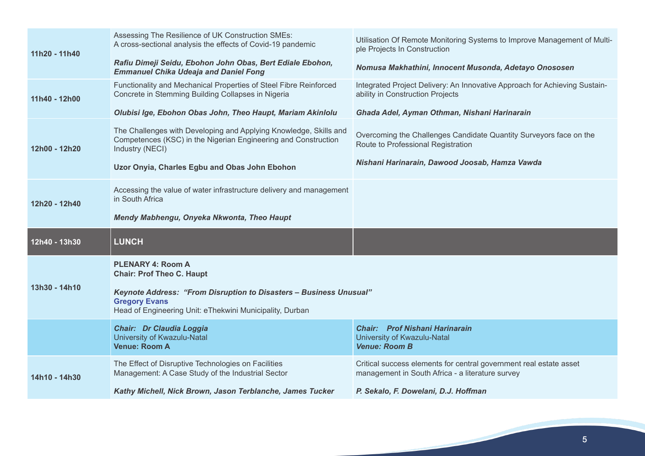| 11h20 - 11h40 | Assessing The Resilience of UK Construction SMEs:<br>A cross-sectional analysis the effects of Covid-19 pandemic<br>Rafiu Dimeji Seidu, Ebohon John Obas, Bert Ediale Ebohon,<br><b>Emmanuel Chika Udeaja and Daniel Fong</b> | Utilisation Of Remote Monitoring Systems to Improve Management of Multi-<br>ple Projects In Construction<br>Nomusa Makhathini, Innocent Musonda, Adetayo Onososen |
|---------------|-------------------------------------------------------------------------------------------------------------------------------------------------------------------------------------------------------------------------------|-------------------------------------------------------------------------------------------------------------------------------------------------------------------|
| 11h40 - 12h00 | Functionality and Mechanical Properties of Steel Fibre Reinforced<br>Concrete in Stemming Building Collapses in Nigeria                                                                                                       | Integrated Project Delivery: An Innovative Approach for Achieving Sustain-<br>ability in Construction Projects                                                    |
|               | Olubisi Ige, Ebohon Obas John, Theo Haupt, Mariam Akinlolu                                                                                                                                                                    | Ghada Adel, Ayman Othman, Nishani Harinarain                                                                                                                      |
| 12h00 - 12h20 | The Challenges with Developing and Applying Knowledge, Skills and<br>Competences (KSC) in the Nigerian Engineering and Construction<br>Industry (NECI)                                                                        | Overcoming the Challenges Candidate Quantity Surveyors face on the<br>Route to Professional Registration                                                          |
|               | Uzor Onyia, Charles Egbu and Obas John Ebohon                                                                                                                                                                                 | Nishani Harinarain, Dawood Joosab, Hamza Vawda                                                                                                                    |
| 12h20 - 12h40 | Accessing the value of water infrastructure delivery and management<br>in South Africa                                                                                                                                        |                                                                                                                                                                   |
|               | Mendy Mabhengu, Onyeka Nkwonta, Theo Haupt                                                                                                                                                                                    |                                                                                                                                                                   |
|               |                                                                                                                                                                                                                               |                                                                                                                                                                   |
| 12h40 - 13h30 | <b>LUNCH</b>                                                                                                                                                                                                                  |                                                                                                                                                                   |
|               | <b>PLENARY 4: Room A</b><br><b>Chair: Prof Theo C. Haupt</b>                                                                                                                                                                  |                                                                                                                                                                   |
| 13h30 - 14h10 | <b>Keynote Address: "From Disruption to Disasters - Business Unusual"</b><br><b>Gregory Evans</b><br>Head of Engineering Unit: eThekwini Municipality, Durban                                                                 |                                                                                                                                                                   |
|               | <b>Chair: Dr Claudia Loggia</b><br>University of Kwazulu-Natal<br><b>Venue: Room A</b>                                                                                                                                        | <b>Chair: Prof Nishani Harinarain</b><br>University of Kwazulu-Natal<br><b>Venue: Room B</b>                                                                      |
| 14h10 - 14h30 | The Effect of Disruptive Technologies on Facilities<br>Management: A Case Study of the Industrial Sector                                                                                                                      | Critical success elements for central government real estate asset<br>management in South Africa - a literature survey                                            |